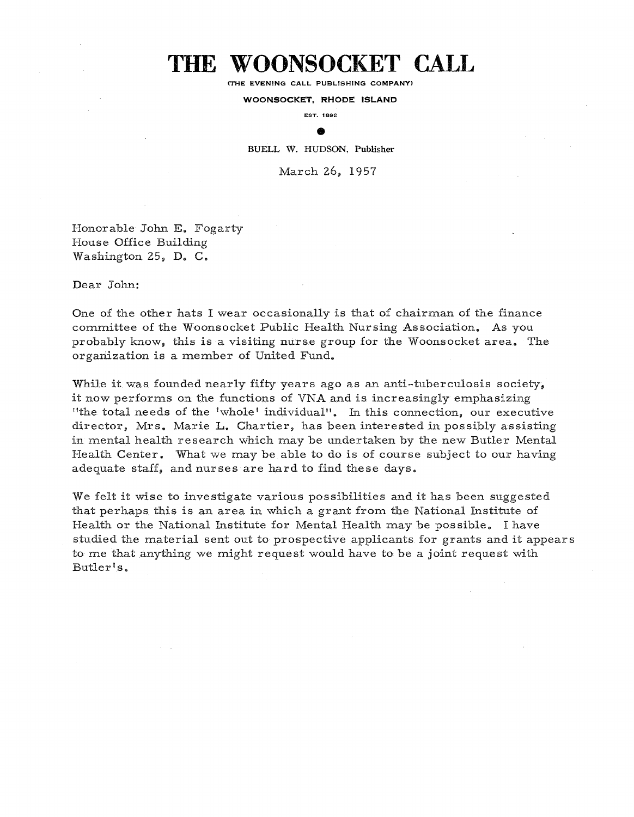## THE WOONSOCKET CALL

(THE EVENING CALL PUBLISHING COMPANY)

WOONSOCKET, RHODE ISLAND

EST. 1892 ®

BUELL W. HUDSON, Publisher

March 26, 1957

Honorable John E, Fogarty House Office Building Washington 25, D. C.

Dear John:

One of the other hats <sup>I</sup> wear occasionally is that of chairman of the finance committee of the Woonsocket Public Health Nursing Association, As you probably know, this is a visiting nurse group for the Woonsocket area. The organization is a member of United Fund.

While it was founded nearly fifty years ago as an anti-tuberculosis society, it now performs on the functions of VNA and is increasingly emphasizing "the total needs of the 'whole' individual". In this connection, our executive director, Mrs. Marie L. Chartier, has been interested in possibly assisting in mental health research which may be undertaken by the new Butler Mental Health Center. What we may be able to do is of course subject to our having adequate staff, and nurses are hard to find these days.

We felt it wise to investigate various possibilities and it has been suggested that perhaps this is an area in which a grant from the National Institute of Health or the National Institute for Mental Health may be possible. Ihave studied the material sent out to prospective applicants for grants and it appears to me that anything we might request would have to. be <sup>a</sup> joint request with Butler's.